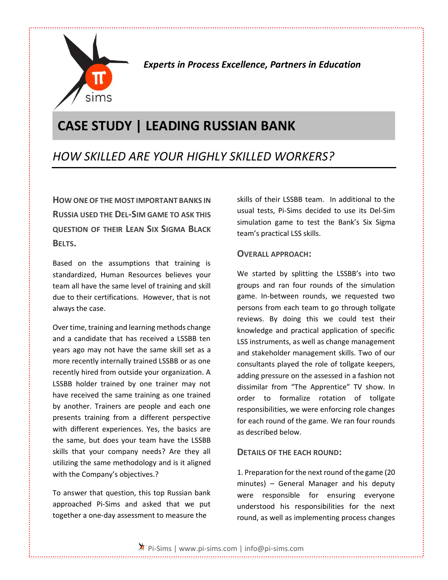

*Experts in Process Excellence, Partners in Education*

# **CASE STUDY | LEADING RUSSIAN BANK**

## *HOW SKILLED ARE YOUR HIGHLY SKILLED WORKERS?*

**HOW ONE OF THE MOST IMPORTANT BANKS IN RUSSIA USED THE DEL-SIM GAME TO ASK THIS QUESTION OF THEIR LEAN SIX SIGMA BLACK BELTS.**

Based on the assumptions that training is standardized, Human Resources believes your team all have the same level of training and skill due to their certifications. However, that is not always the case.

Over time, training and learning methods change and a candidate that has received a LSSBB ten years ago may not have the same skill set as a more recently internally trained LSSBB or as one recently hired from outside your organization. A LSSBB holder trained by one trainer may not have received the same training as one trained by another. Trainers are people and each one presents training from a different perspective with different experiences. Yes, the basics are the same, but does your team have the LSSBB skills that your company needs? Are they all utilizing the same methodology and is it aligned with the Company's objectives.?

To answer that question, this top Russian bank approached Pi-Sims and asked that we put together a one-day assessment to measure the

skills of their LSSBB team. In additional to the usual tests, Pi-Sims decided to use its Del-Sim simulation game to test the Bank's Six Sigma team's practical LSS skills.

#### **OVERALL APPROACH:**

We started by splitting the LSSBB's into two groups and ran four rounds of the simulation game. In-between rounds, we requested two persons from each team to go through tollgate reviews. By doing this we could test their knowledge and practical application of specific LSS instruments, as well as change management and stakeholder management skills. Two of our consultants played the role of tollgate keepers, adding pressure on the assessed in a fashion not dissimilar from "The Apprentice" TV show. In order to formalize rotation of tollgate responsibilities, we were enforcing role changes for each round of the game. We ran four rounds as described below.

#### **DETAILS OF THE EACH ROUND:**

1. Preparation for the next round of the game (20 minutes) – General Manager and his deputy were responsible for ensuring everyone understood his responsibilities for the next round, as well as implementing process changes

Pi-Sims | www.pi-sims.com | info@pi-sims.com